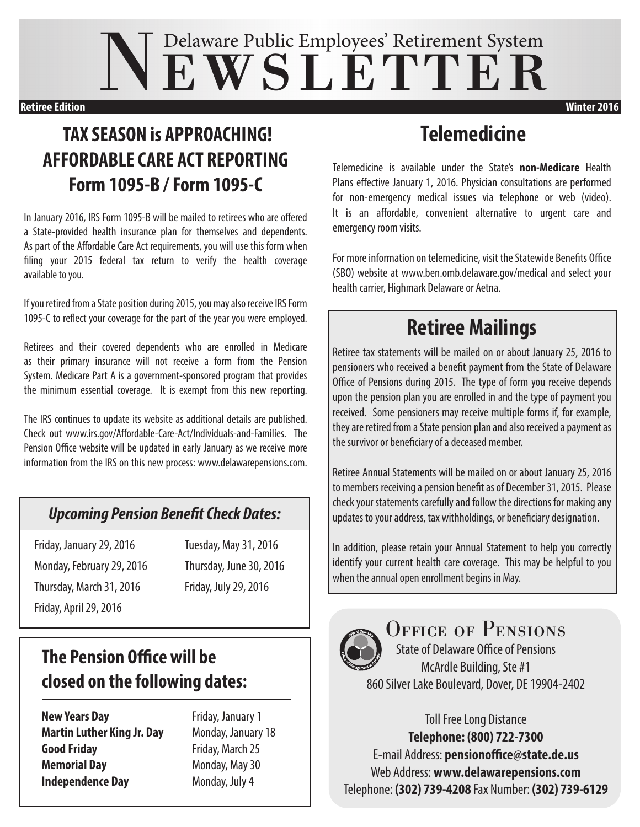# NEWSLETTER

#### **Retiree Edition Winter 2016**

#### **TAX SEASON is APPROACHING! AFFORDABLE CARE ACT REPORTING Form 1095-B / Form 1095-C**

In January 2016, IRS Form 1095-B will be mailed to retirees who are offered a State-provided health insurance plan for themselves and dependents. As part of the Affordable Care Act requirements, you will use this form when filing your 2015 federal tax return to verify the health coverage available to you.

If you retired from a State position during 2015, you may also receive IRS Form 1095-C to reflect your coverage for the part of the year you were employed.

Retirees and their covered dependents who are enrolled in Medicare as their primary insurance will not receive a form from the Pension System. Medicare Part A is a government-sponsored program that provides the minimum essential coverage. It is exempt from this new reporting.

The IRS continues to update its website as additional details are published. Check out www.irs.gov/Affordable-Care-Act/Individuals-and-Families. The Pension Office website will be updated in early January as we receive more information from the IRS on this new process: www.delawarepensions.com.

#### *Upcoming Pension Benefit Check Dates:*

Friday, January 29, 2016 Tuesday, May 31, 2016 Monday, February 29, 2016 Thursday, June 30, 2016 Thursday, March 31, 2016 Friday, July 29, 2016 Friday, April 29, 2016

#### **The Pension Office will be closed on the following dates:**

**New Years Day** Friday, January 1 **Martin Luther King Jr. Day** Monday, January 18 **Good Friday** Friday, March 25 **Memorial Day** Monday, May 30 **Independence Day** Monday, July 4

#### **Telemedicine**

Telemedicine is available under the State's **non-Medicare** Health Plans effective January 1, 2016. Physician consultations are performed for non-emergency medical issues via telephone or web (video). It is an affordable, convenient alternative to urgent care and emergency room visits.

For more information on telemedicine, visit the Statewide Benefits Office (SBO) website at www.ben.omb.delaware.gov/medical and select your health carrier, Highmark Delaware or Aetna.

### **Retiree Mailings**

Retiree tax statements will be mailed on or about January 25, 2016 to pensioners who received a benefit payment from the State of Delaware Office of Pensions during 2015. The type of form you receive depends upon the pension plan you are enrolled in and the type of payment you received. Some pensioners may receive multiple forms if, for example, they are retired from a State pension plan and also received a payment as the survivor or beneficiary of a deceased member.

Retiree Annual Statements will be mailed on or about January 25, 2016 to members receiving a pension benefit as of December 31, 2015. Please check your statements carefully and follow the directions for making any updates to your address, tax withholdings, or beneficiary designation.

In addition, please retain your Annual Statement to help you correctly identify your current health care coverage. This may be helpful to you when the annual open enrollment begins in May.



OFFICE OF PENSIONS State of Delaware Office of Pensions McArdle Building, Ste #1

860 Silver Lake Boulevard, Dover, DE 19904-2402

Toll Free Long Distance **Telephone: (800) 722-7300** E-mail Address: **pensionoffice@state.de.us** Web Address: **www.delawarepensions.com** Telephone: **(302) 739-4208** Fax Number: **(302) 739-6129**